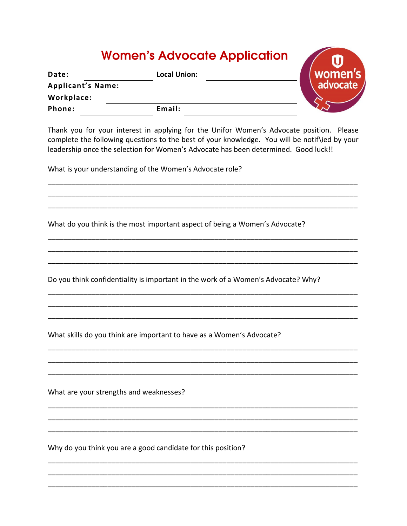## Women's Advocate Application

| Date:                    | <b>Local Union:</b> | women's    |
|--------------------------|---------------------|------------|
| <b>Applicant's Name:</b> |                     | advocate / |
| Workplace:               |                     |            |
| Phone:                   | Email:              |            |

Thank you for your interest in applying for the Unifor Women's Advocate position. Please complete the following questions to the best of your knowledge. You will be notif\ied by your leadership once the selection for Women's Advocate has been determined. Good luck!!

What is your understanding of the Women's Advocate role?

What do you think is the most important aspect of being a Women's Advocate?

Do you think confidentiality is important in the work of a Women's Advocate? Why?

What skills do you think are important to have as a Women's Advocate?

What are your strengths and weaknesses?

Why do you think you are a good candidate for this position?